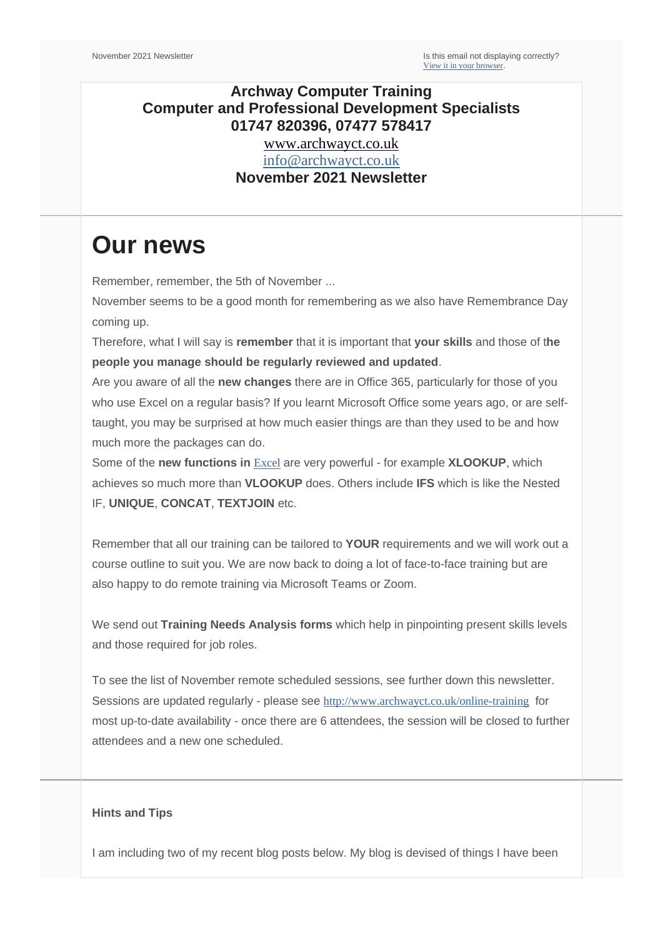# **Archway Computer Training Computer and Professional Development Specialists 01747 820396, 07477 578417**

[www.archwayct.co.uk](http://www.archwayct.co.uk/) [info@archwayct.co.uk](mailto:%20info@archwayct.co.uk) **November 2021 Newsletter**

# **Our news**

Remember, remember, the 5th of November ...

November seems to be a good month for remembering as we also have Remembrance Day coming up.

Therefore, what I will say is **remember** that it is important that **your skills** and those of t**he people you manage should be regularly reviewed and updated**.

Are you aware of all the **new changes** there are in Office 365, particularly for those of you who use Excel on a regular basis? If you learnt Microsoft Office some years ago, or are selftaught, you may be surprised at how much easier things are than they used to be and how much more the packages can do.

Some of the **new functions in** [Excel](http://www.archwayct.co.uk/microsoft-office-training/microsoft-excel-training) are very powerful - for example **XLOOKUP**, which achieves so much more than **VLOOKUP** does. Others include **IFS** which is like the Nested IF, **UNIQUE**, **CONCAT**, **TEXTJOIN** etc.

Remember that all our training can be tailored to **YOUR** requirements and we will work out a course outline to suit you. We are now back to doing a lot of face-to-face training but are also happy to do remote training via Microsoft Teams or Zoom.

We send out **Training Needs Analysis forms** which help in pinpointing present skills levels and those required for job roles.

To see the list of November remote scheduled sessions, see further down this newsletter. Sessions are updated regularly - please see <http://www.archwayct.co.uk/online-training> for most up-to-date availability - once there are 6 attendees, the session will be closed to further attendees and a new one scheduled.

#### **Hints and Tips**

I am including two of my recent blog posts below. My blog is devised of things I have been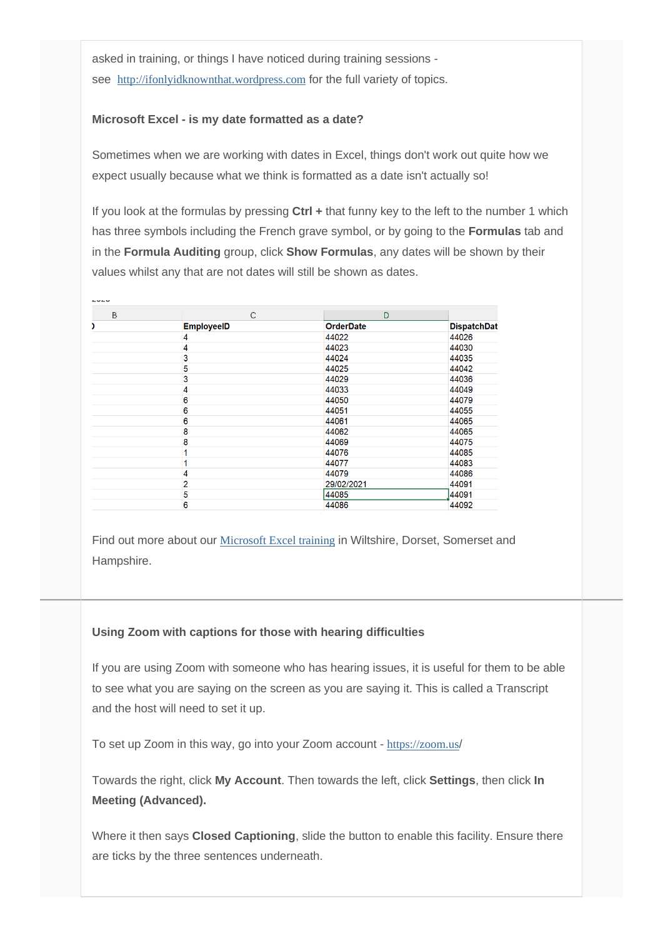asked in training, or things I have noticed during training sessions see [http://ifonlyidknownthat.wordpress.com](http://ifonlyidknownthat.wordpress.com/) for the full variety of topics.

### **Microsoft Excel - is my date formatted as a date?**

Sometimes when we are working with dates in Excel, things don't work out quite how we expect usually because what we think is formatted as a date isn't actually so!

If you look at the formulas by pressing **Ctrl +** that funny key to the left to the number 1 which has three symbols including the French grave symbol, or by going to the **Formulas** tab and in the **Formula Auditing** group, click **Show Formulas**, any dates will be shown by their values whilst any that are not dates will still be shown as dates.

| B | C                 | D                |                    |
|---|-------------------|------------------|--------------------|
|   | <b>EmployeeID</b> | <b>OrderDate</b> | <b>DispatchDat</b> |
|   | 4                 | 44022            | 44026              |
|   | 4                 | 44023            | 44030              |
|   | 3                 | 44024            | 44035              |
|   | 5                 | 44025            | 44042              |
|   | 3                 | 44029            | 44036              |
|   | 4                 | 44033            | 44049              |
|   | 6                 | 44050            | 44079              |
|   | 6                 | 44051            | 44055              |
|   | 6                 | 44061            | 44065              |
|   | 8                 | 44062            | 44065              |
|   | 8                 | 44069            | 44075              |
|   |                   | 44076            | 44085              |
|   |                   | 44077            | 44083              |
|   | 4                 | 44079            | 44086              |
|   | $\overline{2}$    | 29/02/2021       | 44091              |
|   | 5                 | 44085            | 44091              |
|   | 6                 | 44086            | 44092              |

Find out more about our [Microsoft Excel training](http://www.archwayct.co.uk/microsoft-office-training/microsoft-excel-training) in Wiltshire, Dorset, Somerset and Hampshire.

### **Using Zoom with captions for those with hearing difficulties**

If you are using Zoom with someone who has hearing issues, it is useful for them to be able to see what you are saying on the screen as you are saying it. This is called a Transcript and the host will need to set it up.

To set up Zoom in this way, go into your Zoom account - [https://zoom.us](https://zoom.us/)/

Towards the right, click **My Account**. Then towards the left, click **Settings**, then click **In Meeting (Advanced).**

Where it then says **Closed Captioning**, slide the button to enable this facility. Ensure there are ticks by the three sentences underneath.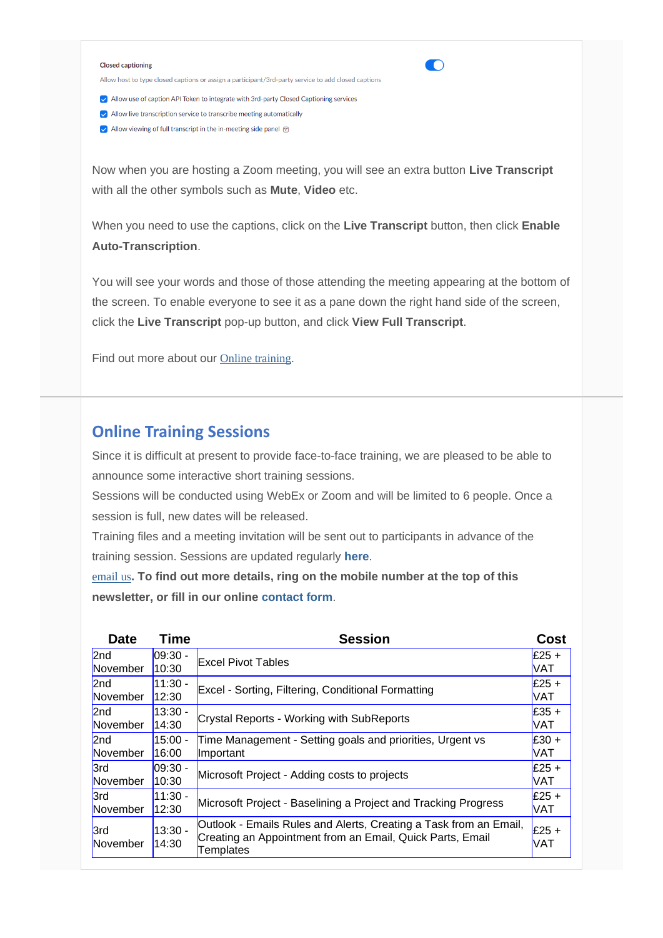#### **Closed captioning**

Allow host to type closed captions or assign a participant/3rd-party service to add closed captions

Iv Allow use of caption API Token to integrate with 3rd-party Closed Captioning services

- $\blacktriangleright$  Allow live transcription service to transcribe meeting automatically
- $\blacktriangleright$  Allow viewing of full transcript in the in-meeting side panel  $\heartsuit$

Now when you are hosting a Zoom meeting, you will see an extra button **Live Transcript**  with all the other symbols such as **Mute**, **Video** etc.

 $\bigcirc$ 

When you need to use the captions, click on the **Live Transcript** button, then click **Enable Auto-Transcription**.

You will see your words and those of those attending the meeting appearing at the bottom of the screen. To enable everyone to see it as a pane down the right hand side of the screen, click the **Live Transcript** pop-up button, and click **View Full Transcript**.

Find out more about our [Online training](https://www.archwayct.co.uk/online-training/).

## **Online Training Sessions**

Since it is difficult at present to provide face-to-face training, we are pleased to be able to announce some interactive short training sessions.

Sessions will be conducted using WebEx or Zoom and will be limited to 6 people. Once a session is full, new dates will be released.

Training files and a meeting invitation will be sent out to participants in advance of the training session. Sessions are updated regularly **[here](http://www.archwayct.co.uk/online-training)**.

[email us](mailto:janet@archwayct.co.uk?subject=Online%20training)**. To find out more details, ring on the mobile number at the top of this newsletter, or fill in our online [contact form](http://www.archwayct.co.uk/contact)**.

| <b>Date</b>            | <b>Time</b>        | <b>Session</b>                                                                                                                              | Cost                  |
|------------------------|--------------------|---------------------------------------------------------------------------------------------------------------------------------------------|-----------------------|
| 2nd                    | 09:30 -            | <b>Excel Pivot Tables</b>                                                                                                                   | $E25 +$               |
| November               | 10:30              |                                                                                                                                             | <b>VAT</b>            |
| 2nd                    | $11:30 -$          | Excel - Sorting, Filtering, Conditional Formatting                                                                                          | $E25 +$               |
| November               | 12:30              |                                                                                                                                             | <b>VAT</b>            |
| 2nd                    | $13:30 -$          | <b>Crystal Reports - Working with SubReports</b>                                                                                            | $E35 +$               |
| November               | 14:30              |                                                                                                                                             | VAT                   |
| 2nd                    | $15:00 -$          | Time Management - Setting goals and priorities, Urgent vs                                                                                   | $E30 +$               |
| November               | 16:00              | Important                                                                                                                                   | <b>VAT</b>            |
| 3rd                    | $09:30 -$          | Microsoft Project - Adding costs to projects                                                                                                | $E25 +$               |
| November               | 10:30              |                                                                                                                                             | <b>VAT</b>            |
| 3rd                    | $11:30 -$          | Microsoft Project - Baselining a Project and Tracking Progress                                                                              | $E25 +$               |
| November               | 12:30              |                                                                                                                                             | VAT                   |
| <b>3rd</b><br>November | $13:30 -$<br>14:30 | Outlook - Emails Rules and Alerts, Creating a Task from an Email,<br>Creating an Appointment from an Email, Quick Parts, Email<br>Templates | $E25 +$<br><b>VAT</b> |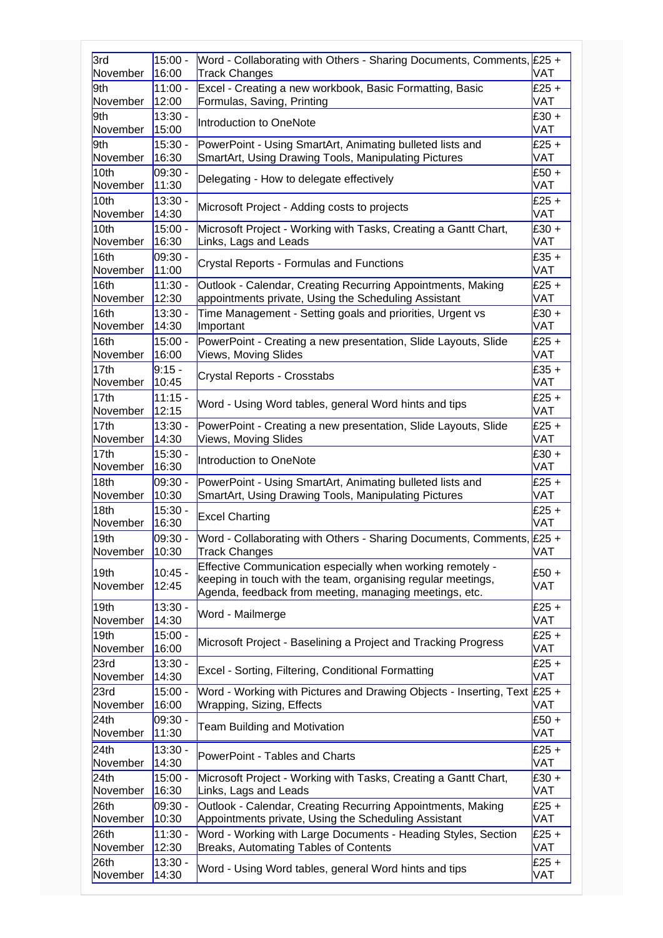| 3rd              | $15:00 -$          | Word - Collaborating with Others - Sharing Documents, Comments, $\sqrt{25} +$                                                                                                        | VAT                   |
|------------------|--------------------|--------------------------------------------------------------------------------------------------------------------------------------------------------------------------------------|-----------------------|
| November         | 16:00              | <b>Track Changes</b>                                                                                                                                                                 |                       |
| 9th              | $11:00 -$          | Excel - Creating a new workbook, Basic Formatting, Basic                                                                                                                             | $£25 +$               |
| November         | 12:00              | Formulas, Saving, Printing                                                                                                                                                           | VAT                   |
| 9th              | $13:30 -$          | Introduction to OneNote                                                                                                                                                              | £30 +                 |
| November         | 15:00              |                                                                                                                                                                                      | <b>VAT</b>            |
| 9th              | $15:30 -$          | PowerPoint - Using SmartArt, Animating bulleted lists and                                                                                                                            | $£25 +$               |
| November         | 16:30              | SmartArt, Using Drawing Tools, Manipulating Pictures                                                                                                                                 | VAT                   |
| 10th             | 09:30 -            | Delegating - How to delegate effectively                                                                                                                                             | $£50 +$               |
| November         | 11:30              |                                                                                                                                                                                      | VAT                   |
| 10th             | $13:30 -$          | Microsoft Project - Adding costs to projects                                                                                                                                         | $£25 +$               |
| November         | 14:30              |                                                                                                                                                                                      | VAT                   |
| 10th             | $15:00 -$          | Microsoft Project - Working with Tasks, Creating a Gantt Chart,                                                                                                                      | $£30 +$               |
| November         | 16:30              | Links, Lags and Leads                                                                                                                                                                | <b>VAT</b>            |
| 16th             | 09:30 -            | <b>Crystal Reports - Formulas and Functions</b>                                                                                                                                      | $£35 +$               |
| November         | 11:00              |                                                                                                                                                                                      | <b>VAT</b>            |
| 16th             | $11:30 -$          | Outlook - Calendar, Creating Recurring Appointments, Making                                                                                                                          | $£25 +$               |
| November         | 12:30              | appointments private, Using the Scheduling Assistant                                                                                                                                 | VAT                   |
| 16 <sub>th</sub> | $13:30 -$          | Time Management - Setting goals and priorities, Urgent vs                                                                                                                            | $E30 +$               |
| November         | 14:30              | Important                                                                                                                                                                            | VAT                   |
| 16th             | 15:00 -            | PowerPoint - Creating a new presentation, Slide Layouts, Slide                                                                                                                       | $£25 +$               |
| November         | 16:00              | Views, Moving Slides                                                                                                                                                                 | <b>VAT</b>            |
| 17th             | $9:15 -$           | Crystal Reports - Crosstabs                                                                                                                                                          | $£35 +$               |
| November         | 10:45              |                                                                                                                                                                                      | VAT                   |
| 17th             | $11:15 -$          | Word - Using Word tables, general Word hints and tips                                                                                                                                | £25 +                 |
| November         | 12:15              |                                                                                                                                                                                      | VAT                   |
| 17th             | $13:30 -$          | PowerPoint - Creating a new presentation, Slide Layouts, Slide                                                                                                                       | $£25 +$               |
| November         | 14:30              | <b>Views, Moving Slides</b>                                                                                                                                                          | VAT                   |
| 17th             | $15:30 -$          | Introduction to OneNote                                                                                                                                                              | $£30 +$               |
| November         | 16:30              |                                                                                                                                                                                      | <b>VAT</b>            |
| 18 <sub>th</sub> | 09:30 -            | PowerPoint - Using SmartArt, Animating bulleted lists and                                                                                                                            | $£25 +$               |
| November         | 10:30              | SmartArt, Using Drawing Tools, Manipulating Pictures                                                                                                                                 | <b>VAT</b>            |
| 18 <sub>th</sub> | $15:30 -$          | <b>Excel Charting</b>                                                                                                                                                                | $E25 +$               |
| November         | 16:30              |                                                                                                                                                                                      | <b>VAT</b>            |
| 19th             | 09:30 -            | Word - Collaborating with Others - Sharing Documents, Comments, £25 +                                                                                                                | VAT                   |
| November         | 10:30              | Track Changes                                                                                                                                                                        |                       |
| 19th<br>November | $10:45 -$<br>12:45 | Effective Communication especially when working remotely -<br>keeping in touch with the team, organising regular meetings,<br>Agenda, feedback from meeting, managing meetings, etc. | $£50 +$<br><b>VAT</b> |
| 19 <sub>th</sub> | $13:30 -$          | Word - Mailmerge                                                                                                                                                                     | $E25 +$               |
| November         | 14:30              |                                                                                                                                                                                      | <b>VAT</b>            |
| 19 <sub>th</sub> | $15:00 -$          | Microsoft Project - Baselining a Project and Tracking Progress                                                                                                                       | $£25 +$               |
| November         | 16:00              |                                                                                                                                                                                      | VAT                   |
| 23rd             | $13:30 -$          | Excel - Sorting, Filtering, Conditional Formatting                                                                                                                                   | $£25 +$               |
| November         | 14:30              |                                                                                                                                                                                      | <b>VAT</b>            |
| 23rd             | $15:00 -$          | Word - Working with Pictures and Drawing Objects - Inserting, Text                                                                                                                   | $E25 +$               |
| November         | 16:00              | Wrapping, Sizing, Effects                                                                                                                                                            | VAT                   |
| 24th             | 09:30 -            | Team Building and Motivation                                                                                                                                                         | $£50 +$               |
| November         | 11:30              |                                                                                                                                                                                      | VAT                   |
| 24th             | $13:30 -$          | PowerPoint - Tables and Charts                                                                                                                                                       | $E25 +$               |
| November         | 14:30              |                                                                                                                                                                                      | VAT                   |
| 24th             | $15:00 -$          | Microsoft Project - Working with Tasks, Creating a Gantt Chart,                                                                                                                      | $£30 +$               |
| November         | 16:30              | Links, Lags and Leads                                                                                                                                                                | VAT                   |
| 26th             | 09:30 -            | Outlook - Calendar, Creating Recurring Appointments, Making                                                                                                                          | $£25 +$               |
| November         | 10:30              | Appointments private, Using the Scheduling Assistant                                                                                                                                 | VAT                   |
| 26th             | $11:30 -$          | Word - Working with Large Documents - Heading Styles, Section                                                                                                                        | $£25 +$               |
| November         | 12:30              | Breaks, Automating Tables of Contents                                                                                                                                                | VAT                   |
| 26th             | $13:30 -$          | Word - Using Word tables, general Word hints and tips                                                                                                                                | $£25 +$               |
| November         | 14:30              |                                                                                                                                                                                      | <b>VAT</b>            |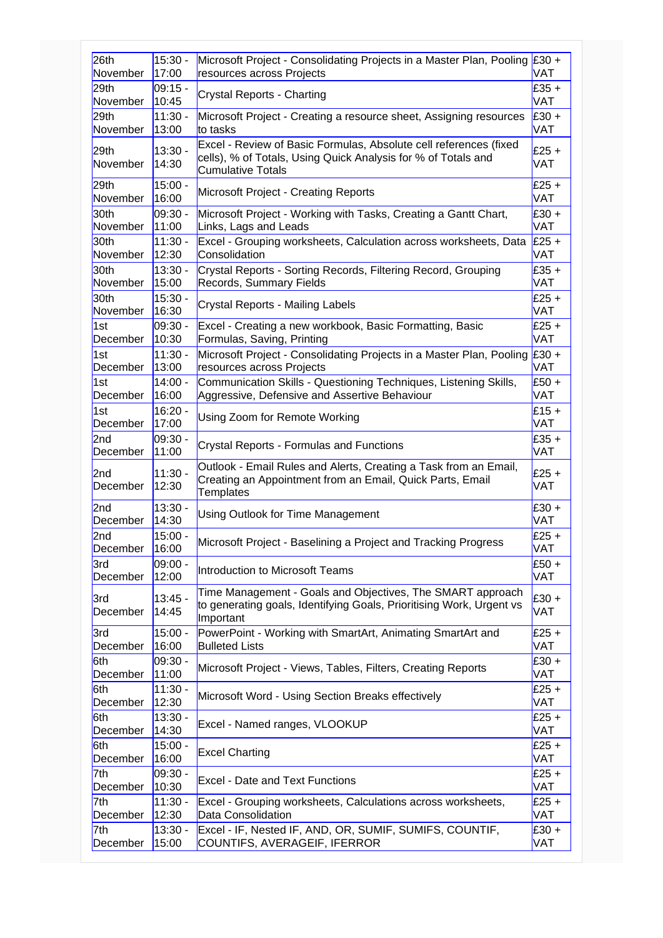| 26th                        | $15:30 -$          | Microsoft Project - Consolidating Projects in a Master Plan, Pooling £30 +                                                                                     | VAT            |
|-----------------------------|--------------------|----------------------------------------------------------------------------------------------------------------------------------------------------------------|----------------|
| November                    | 17:00              | resources across Projects                                                                                                                                      |                |
| 29th                        | 09:15 -            | Crystal Reports - Charting                                                                                                                                     | $£35 +$        |
| November                    | 10:45              |                                                                                                                                                                | VAT            |
| 29th                        | $11:30 -$          | Microsoft Project - Creating a resource sheet, Assigning resources                                                                                             | $E30 +$        |
| November                    | 13:00              | to tasks                                                                                                                                                       | VAT            |
| 29th<br>November            | $13:30 -$<br>14:30 | Excel - Review of Basic Formulas, Absolute cell references (fixed<br>cells), % of Totals, Using Quick Analysis for % of Totals and<br><b>Cumulative Totals</b> | $£25 +$<br>VAT |
| 29th                        | $15:00 -$          | Microsoft Project - Creating Reports                                                                                                                           | $£25 +$        |
| November                    | 16:00              |                                                                                                                                                                | VAT            |
| 30th                        | 09:30 -            | Microsoft Project - Working with Tasks, Creating a Gantt Chart,                                                                                                | $£30 +$        |
| November                    | 11:00              | Links, Lags and Leads                                                                                                                                          | VAT            |
| 30th                        | $11:30 -$          | Excel - Grouping worksheets, Calculation across worksheets, Data                                                                                               | $E25 +$        |
| November                    | 12:30              | Consolidation                                                                                                                                                  | VAT            |
| 30th                        | $13:30 -$          | Crystal Reports - Sorting Records, Filtering Record, Grouping                                                                                                  | $£35 +$        |
| November                    | 15:00              | Records, Summary Fields                                                                                                                                        | VAT            |
| 30th                        | $15:30 -$          | Crystal Reports - Mailing Labels                                                                                                                               | £25 $+$        |
| November                    | 16:30              |                                                                                                                                                                | VAT            |
| 1st                         | 09:30 -            | Excel - Creating a new workbook, Basic Formatting, Basic                                                                                                       | $£25 +$        |
| December                    | 10:30              | Formulas, Saving, Printing                                                                                                                                     | VAT            |
| 1st                         | $11:30 -$          | Microsoft Project - Consolidating Projects in a Master Plan, Pooling                                                                                           | $E30 +$        |
| December                    | 13:00              | resources across Projects                                                                                                                                      | <b>VAT</b>     |
| 1st                         | $14:00 -$          | Communication Skills - Questioning Techniques, Listening Skills,                                                                                               | $£50 +$        |
| December                    | 16:00              | Aggressive, Defensive and Assertive Behaviour                                                                                                                  | VAT            |
| 1st                         | $16:20 -$          | Using Zoom for Remote Working                                                                                                                                  | $£15 +$        |
| December                    | 17:00              |                                                                                                                                                                | VAT            |
| 2nd                         | $09:30 -$          | Crystal Reports - Formulas and Functions                                                                                                                       | $£35 +$        |
| December                    | 11:00              |                                                                                                                                                                | VAT            |
| 2 <sub>nd</sub><br>December | $11:30 -$<br>12:30 | Outlook - Email Rules and Alerts, Creating a Task from an Email,<br>Creating an Appointment from an Email, Quick Parts, Email<br><b>Templates</b>              | $E25 +$<br>VAT |
| 2 <sub>nd</sub>             | $13:30 -$          | Using Outlook for Time Management                                                                                                                              | $£30 +$        |
| December                    | 14:30              |                                                                                                                                                                | VAT            |
| 2nd                         | $15:00 -$          | Microsoft Project - Baselining a Project and Tracking Progress                                                                                                 | $£25 +$        |
| December                    | 16:00              |                                                                                                                                                                | VAT            |
| 3rd                         | 09:00 -            | Introduction to Microsoft Teams                                                                                                                                | $£50 +$        |
| December                    | 12:00              |                                                                                                                                                                | VAT            |
| 3rd<br>December             | $13:45 -$<br>14:45 | Time Management - Goals and Objectives, The SMART approach<br>to generating goals, Identifying Goals, Prioritising Work, Urgent vs<br>Important                | $E30 +$<br>VAT |
| 3rd                         | $15:00 -$          | PowerPoint - Working with SmartArt, Animating SmartArt and                                                                                                     | $£25 +$        |
| December                    | 16:00              | <b>Bulleted Lists</b>                                                                                                                                          | VAT            |
| 6th                         | 09:30 -            | Microsoft Project - Views, Tables, Filters, Creating Reports                                                                                                   | $£30 +$        |
| December                    | 11:00              |                                                                                                                                                                | VAT            |
| 6th                         | $11:30 -$          | Microsoft Word - Using Section Breaks effectively                                                                                                              | $£25 +$        |
| December                    | 12:30              |                                                                                                                                                                | VAT            |
| 6th                         | $13:30 -$          | Excel - Named ranges, VLOOKUP                                                                                                                                  | £25 +          |
| December                    | 14:30              |                                                                                                                                                                | VAT            |
| 6th                         | $15:00 -$          | <b>Excel Charting</b>                                                                                                                                          | £25 +          |
| December                    | 16:00              |                                                                                                                                                                | VAT            |
| 7th                         | 09:30 -            | <b>Excel - Date and Text Functions</b>                                                                                                                         | $£25 +$        |
| December                    | 10:30              |                                                                                                                                                                | VAT            |
| 7th                         | $11:30 -$          | Excel - Grouping worksheets, Calculations across worksheets,                                                                                                   | $£25 +$        |
| December                    | 12:30              | Data Consolidation                                                                                                                                             | VAT            |
| 7th                         | $13:30 -$          | Excel - IF, Nested IF, AND, OR, SUMIF, SUMIFS, COUNTIF,                                                                                                        | $£30 +$        |
| December                    | 15:00              | COUNTIFS, AVERAGEIF, IFERROR                                                                                                                                   | VAT            |